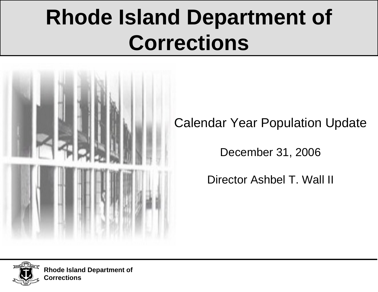# **Rhode Island Department of Corrections**



Calendar Year Population Update

December 31, 2006

Director Ashbel T. Wall II

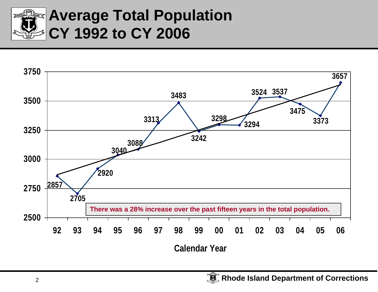

### **Average Total Population CY 1992 to CY 2006**

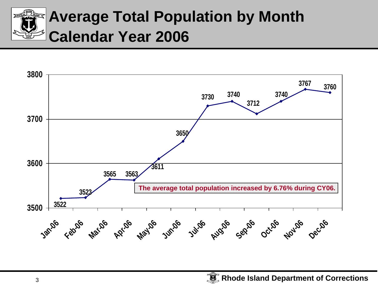

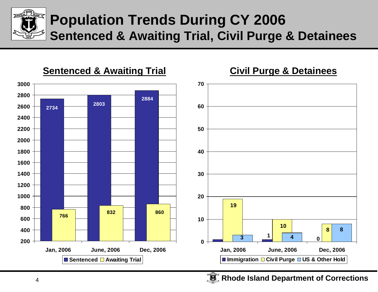

#### **Population Trends During CY 2006 Sentenced & Awaiting Trial, Civil Purge & Detainees**

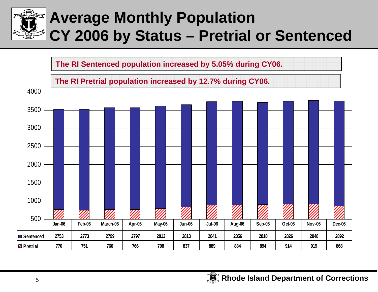

## **Average Monthly Population CY 2006 by Status – Pretrial or Sentenced**

**The RI Sentenced population increased by 5.05% during CY06.**

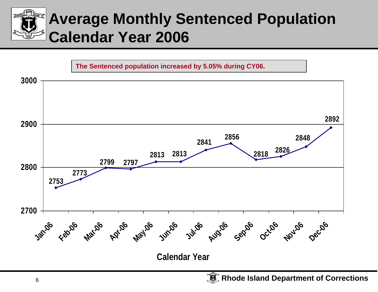

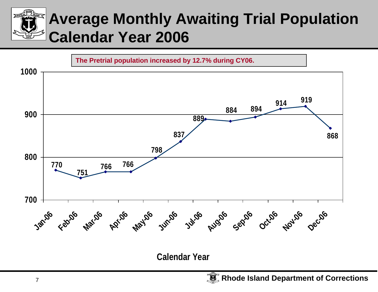## **Average Monthly Awaiting Trial Population Calendar Year 2006**



**Calendar Year**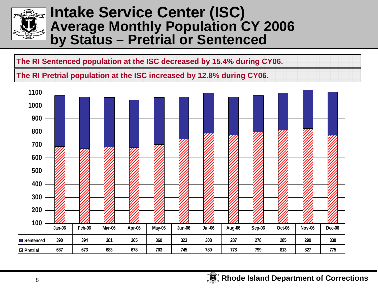

#### **Intake Service Center (ISC) Average Monthly Population CY 2006 by Status – Pretrial or Sentenced**

**The RI Sentenced population at the ISC decreased by 15.4% during CY06.**

**The RI Pretrial population at the ISC increased by 12.8% during CY06.**

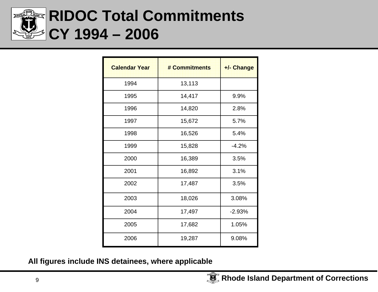

### **RIDOC Total Commitments CY 1994 – 2006**

| <b>Calendar Year</b> | # Commitments | +/- Change |
|----------------------|---------------|------------|
| 1994                 | 13,113        |            |
| 1995                 | 14,417        | 9.9%       |
| 1996                 | 14,820        | 2.8%       |
| 1997                 | 15,672        | 5.7%       |
| 1998                 | 16,526        | 5.4%       |
| 1999                 | 15,828        | $-4.2%$    |
| 2000                 | 16,389        | 3.5%       |
| 2001                 | 16,892        | 3.1%       |
| 2002                 | 17,487        | 3.5%       |
| 2003                 | 18,026        | 3.08%      |
| 2004                 | 17,497        | $-2.93%$   |
| 2005                 | 17,682        | 1.05%      |
| 2006                 | 19,287        | 9.08%      |

**All figures include INS detainees, where applicable**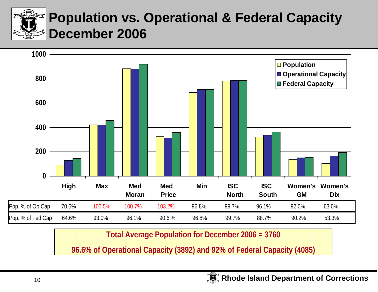

#### **Population vs. Operational & Federal Capacity December 2006**



**Total Average Population for December 2006 = 3760**

**96.6% of Operational Capacity (3892) and 92% of Federal Capacity (4085)**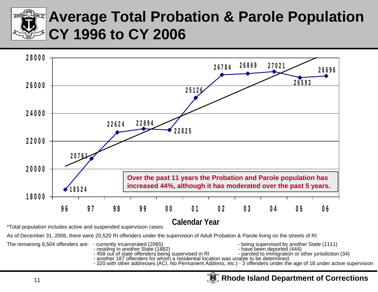

### **Average Total Probation & Parole Population CY 1996 to CY 2006**



\*Total population includes active and suspended supervision cases.

As of December 31, 2006, there were 20,520 RI offenders under the supervision of Adult Probation & Parole living on the streets of RI.

The remaining 6,504 offenders are: - currently incarcerated (2065) - being supervised by another State (1111)

- -
- 
- 
- 
- 
- residing in another State (1882)<br>- 458 out of state offenders being supervised in RI rearcled to immigration or other jurisdiction (34)<br>- another 187 offenders for whom a residential location was unable to be determined.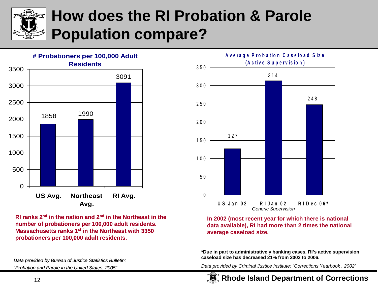

## **How does the RI Probation & Parole Population compare?**



**RI ranks 2n<sup>d</sup> in the nation and 2n<sup>d</sup> in the Northeast in the number of probationers per 100,000 adult residents. Massachusetts ranks 1st in the Northeast with 3350 probationers per 100,000 adult residents.** 

*Data provided by Bureau of Justice Statistics Bulletin: "Probation and Parole in the United States, 2005"*



**In 2002 (most recent year for which there is national data available), RI had more than 2 times the national average caseload size.** 

**\*Due in part to administratively banking cases, RI's active supervision caseload size has decreased 21% from 2002 to 2006.**

*Data provided by Criminal Justice Institute: "Corrections Yearbook , 2002"*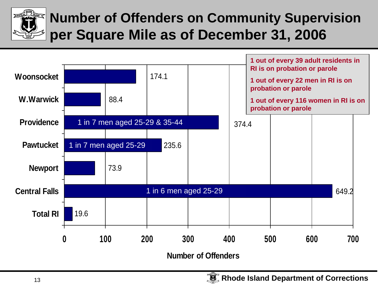

#### **Number of Offenders on Community Supervision per Square Mile as of December 31, 2006**

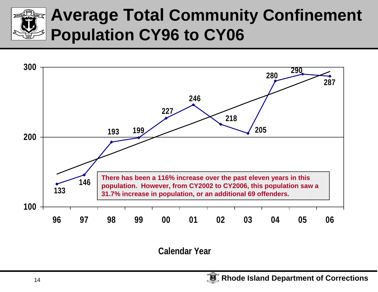



**Calendar Year**